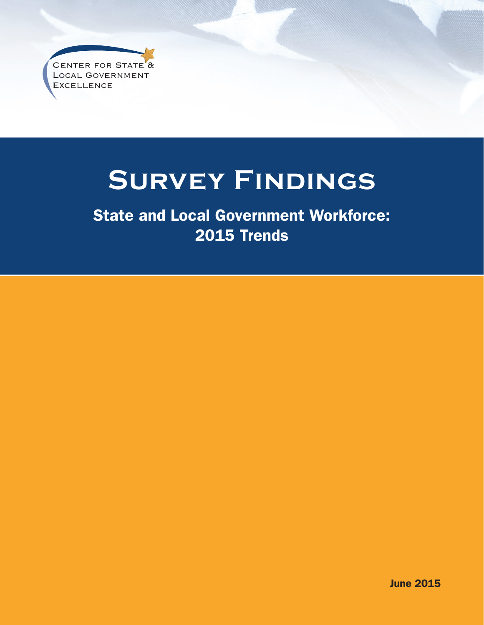CENTER FOR STATE<sup>8</sup> **LOCAL GOVERNMENT EXCELLENCE** 

## **Survey Findings**

State and Local Government Workforce: 2015 Trends

June 2015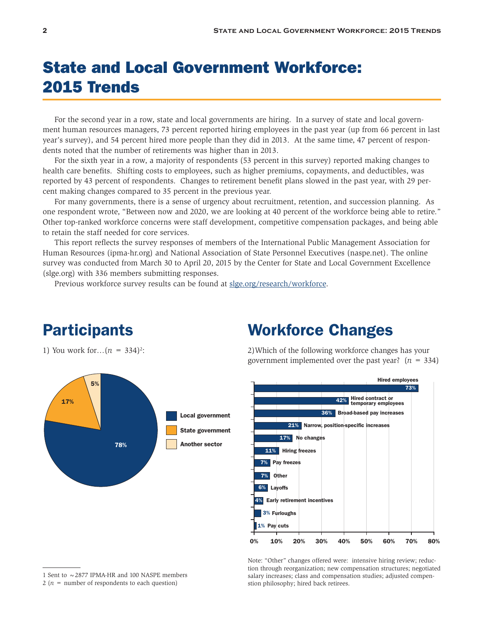## State and Local Government Workforce: 2015 Trends

For the second year in a row, state and local governments are hiring. In a survey of state and local government human resources managers, 73 percent reported hiring employees in the past year (up from 66 percent in last year's survey), and 54 percent hired more people than they did in 2013. At the same time, 47 percent of respondents noted that the number of retirements was higher than in 2013.

For the sixth year in a row, a majority of respondents (53 percent in this survey) reported making changes to health care benefits. Shifting costs to employees, such as higher premiums, copayments, and deductibles, was reported by 43 percent of respondents. Changes to retirement benefit plans slowed in the past year, with 29 percent making changes compared to 35 percent in the previous year.

For many governments, there is a sense of urgency about recruitment, retention, and succession planning. As one respondent wrote, "Between now and 2020, we are looking at 40 percent of the workforce being able to retire." Other top-ranked workforce concerns were staff development, competitive compensation packages, and being able to retain the staff needed for core services.

This report reflects the survey responses of members of the International Public Management Association for Human Resources (ipma-hr.org) and National Association of State Personnel Executives (naspe.net). The online survey was conducted from March 30 to April 20, 2015 by the Center for State and Local Government Excellence (slge.org) with 336 members submitting responses.

Previous workforce survey results can be found at [slge.org/research/workforce.](http://slge.org/research/workforce)

# Local government 78% Another sector 17% 5%

#### Workforce Changes

2)Which of the following workforce changes has your government implemented over the past year?  $(n = 334)$ 



Note: "Other" changes offered were: intensive hiring review; reduction through reorganization; new compensation structures; negotiated salary increases; class and compensation studies; adjusted compenstion philosophy; hired back retirees.

#### **Participants**

1) You work for... $(n = 334)^2$ :

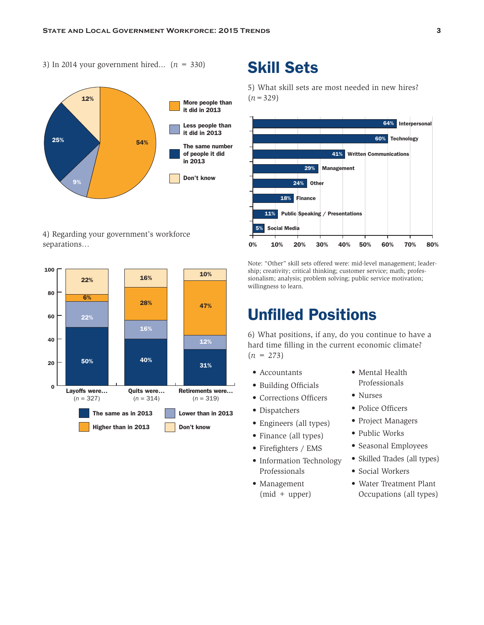3) In 2014 your government hired... (*n* = 330)



4) Regarding your government's workforce separations…



#### Skill Sets

5) What skill sets are most needed in new hires? (*n*=329)



Note: "Other" skill sets offered were: mid-level management; leadership; creativity; critical thinking; customer service; math; professionalism; analysis; problem solving; public service motivation; willingness to learn.

### Unfilled Positions

6) What positions, if any, do you continue to have a hard time filling in the current economic climate?  $(n = 273)$ 

- Accountants
- Building Officials
- Corrections Officers
- Dispatchers
- Engineers (all types)
- Finance (all types)
- Firefighters / EMS
- Information Technology Professionals
- Management (mid + upper)
- Mental Health Professionals
- Nurses
- Police Officers
- Project Managers
- Public Works
- Seasonal Employees
- Skilled Trades (all types)
- Social Workers
- Water Treatment Plant Occupations (all types)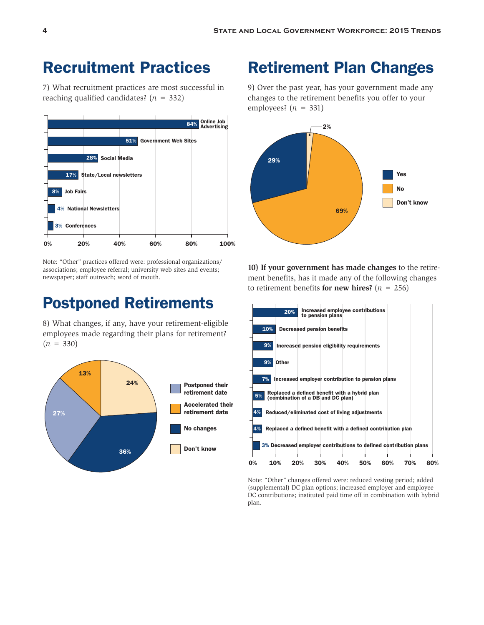#### Recruitment Practices

7) What recruitment practices are most successful in reaching qualified candidates?  $(n = 332)$ 



Note: "Other" practices offered were: professional organizations/ associations; employee referral; university web sites and events; newspaper; staff outreach; word of mouth.

#### Postponed Retirements

8) What changes, if any, have your retirement-eligible employees made regarding their plans for retirement?  $(n = 330)$ 



#### Retirement Plan Changes

9) Over the past year, has your government made any changes to the retirement benefits you offer to your employees?  $(n = 331)$ 



**10) If your government has made changes** to the retirement benefits, has it made any of the following changes to retirement benefits **for new hires?**  $(n = 256)$ 



Note: "Other" changes offered were: reduced vesting period; added (supplemental) DC plan options; increased employer and employee DC contributions; instituted paid time off in combination with hybrid plan.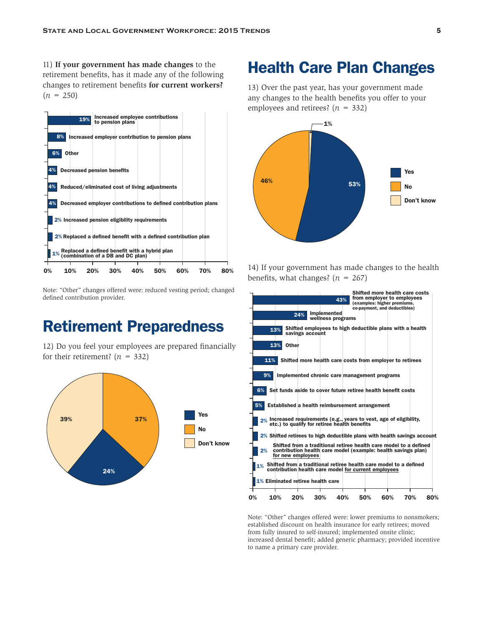11) **If your government has made changes** to the retirement benefits, has it made any of the following changes to retirement benefits **for current workers?**  $(n = 250)$ 



Note: "Other" changes offered were: reduced vesting period; changed defined contribution provider.

#### Retirement Preparedness

12) Do you feel your employees are prepared financially for their retirement?  $(n = 332)$ 



#### Health Care Plan Changes

13) Over the past year, has your government made any changes to the health benefits you offer to your employees and retirees?  $(n = 332)$ 



14) If your government has made changes to the health benefits, what changes?  $(n = 267)$ 



Note: "Other" changes offered were: lower premiums to nonsmokers; established discount on health insurance for early retirees; moved from fully insured to self-insured; implemented onsite clinic; increased dental benefit; added generic pharmacy; provided incentive to name a primary care provider.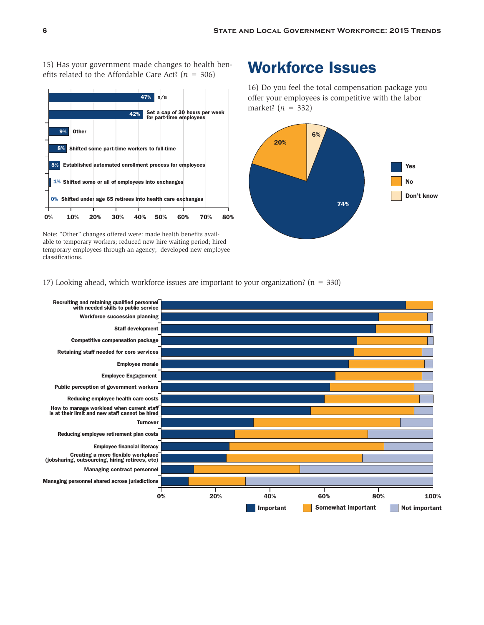15) Has your government made changes to health benefits related to the Affordable Care Act?  $(n = 306)$ 



Note: "Other" changes offered were: made health benefits available to temporary workers; reduced new hire waiting period; hired temporary employees through an agency; developed new employee classifications.

#### Workforce Issues

16) Do you feel the total compensation package you offer your employees is competitive with the labor market? (*n* = 332)



17) Looking ahead, which workforce issues are important to your organization?  $(n = 330)$ 

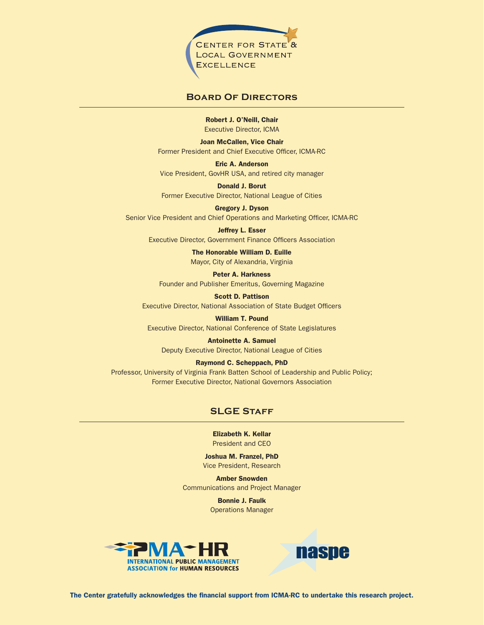

#### **Board Of Directors**

Robert J. O'Neill, Chair Executive Director, ICMA

Joan McCallen, Vice Chair Former President and Chief Executive Officer, ICMA-RC

Eric A. Anderson Vice President, GovHR USA, and retired city manager

Donald J. Borut Former Executive Director, National League of Cities

Gregory J. Dyson Senior Vice President and Chief Operations and Marketing Officer, ICMA-RC

Jeffrey L. Esser Executive Director, Government Finance Officers Association

> The Honorable William D. Euille Mayor, City of Alexandria, Virginia

Peter A. Harkness Founder and Publisher Emeritus, Governing Magazine

Scott D. Pattison Executive Director, National Association of State Budget Officers

William T. Pound Executive Director, National Conference of State Legislatures

Antoinette A. Samuel Deputy Executive Director, National League of Cities

Raymond C. Scheppach, PhD Professor, University of Virginia Frank Batten School of Leadership and Public Policy; Former Executive Director, National Governors Association

#### **SLGE STAFF**

Elizabeth K. Kellar President and CEO

Joshua M. Franzel, PhD Vice President, Research

Amber Snowden Communications and Project Manager

> Bonnie J. Faulk Operations Manager